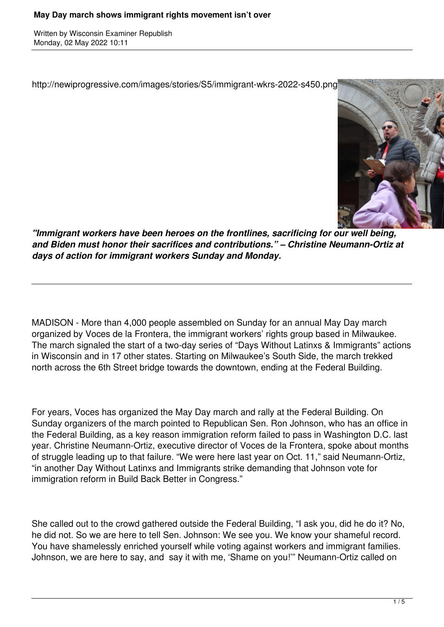Written by Wisconsin Examiner Republish Monday, 02 May 2022 10:11

http://newiprogressive.com/images/stories/S5/immigrant-wkrs-2022-s450.png



*"Immigrant workers have been heroes on the frontlines, sacrificing for our well being, and Biden must honor their sacrifices and contributions." – Christine Neumann-Ortiz at days of action for immigrant workers Sunday and Monday.*

MADISON - More than 4,000 people assembled on Sunday for an annual May Day march organized by Voces de la Frontera, the immigrant workers' rights group based in Milwaukee. The march signaled the start of a two-day series of "Days Without Latinxs & Immigrants" actions in Wisconsin and in 17 other states. Starting on Milwaukee's South Side, the march trekked north across the 6th Street bridge towards the downtown, ending at the Federal Building.

For years, Voces has organized the May Day march and rally at the Federal Building. On Sunday organizers of the march pointed to Republican Sen. Ron Johnson, who has an office in the Federal Building, as a key reason immigration reform failed to pass in Washington D.C. last year. Christine Neumann-Ortiz, executive director of Voces de la Frontera, spoke about months of struggle leading up to that failure. "We were here last year on Oct. 11," said Neumann-Ortiz, "in another Day Without Latinxs and Immigrants strike demanding that Johnson vote for immigration reform in Build Back Better in Congress."

She called out to the crowd gathered outside the Federal Building, "I ask you, did he do it? No, he did not. So we are here to tell Sen. Johnson: We see you. We know your shameful record. You have shamelessly enriched yourself while voting against workers and immigrant families. Johnson, we are here to say, and say it with me, 'Shame on you!'" Neumann-Ortiz called on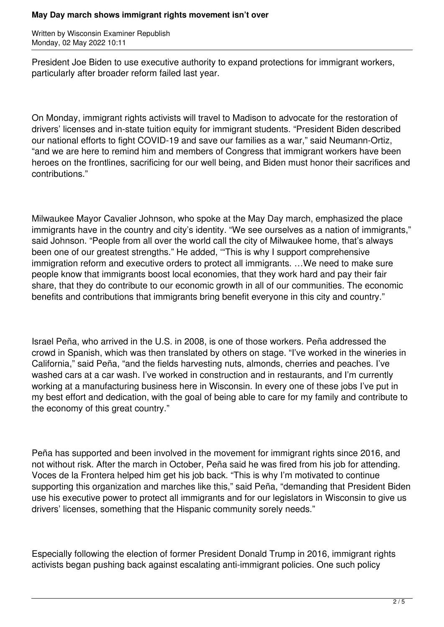## **May Day march shows immigrant rights movement isn't over**

Written by Wisconsin Examiner Republish Monday, 02 May 2022 10:11

President Joe Biden to use executive authority to expand protections for immigrant workers, particularly after broader reform failed last year.

On Monday, immigrant rights activists will travel to Madison to advocate for the restoration of drivers' licenses and in-state tuition equity for immigrant students. "President Biden described our national efforts to fight COVID-19 and save our families as a war," said Neumann-Ortiz, "and we are here to remind him and members of Congress that immigrant workers have been heroes on the frontlines, sacrificing for our well being, and Biden must honor their sacrifices and contributions."

Milwaukee Mayor Cavalier Johnson, who spoke at the May Day march, emphasized the place immigrants have in the country and city's identity. "We see ourselves as a nation of immigrants," said Johnson. "People from all over the world call the city of Milwaukee home, that's always been one of our greatest strengths." He added, '"This is why I support comprehensive immigration reform and executive orders to protect all immigrants. …We need to make sure people know that immigrants boost local economies, that they work hard and pay their fair share, that they do contribute to our economic growth in all of our communities. The economic benefits and contributions that immigrants bring benefit everyone in this city and country."

Israel Peña, who arrived in the U.S. in 2008, is one of those workers. Peña addressed the crowd in Spanish, which was then translated by others on stage. "I've worked in the wineries in California," said Peña, "and the fields harvesting nuts, almonds, cherries and peaches. I've washed cars at a car wash. I've worked in construction and in restaurants, and I'm currently working at a manufacturing business here in Wisconsin. In every one of these jobs I've put in my best effort and dedication, with the goal of being able to care for my family and contribute to the economy of this great country."

Peña has supported and been involved in the movement for immigrant rights since 2016, and not without risk. After the march in October, Peña said he was fired from his job for attending. Voces de la Frontera helped him get his job back. "This is why I'm motivated to continue supporting this organization and marches like this," said Peña, "demanding that President Biden use his executive power to protect all immigrants and for our legislators in Wisconsin to give us drivers' licenses, something that the Hispanic community sorely needs."

Especially following the election of former President Donald Trump in 2016, immigrant rights activists began pushing back against escalating anti-immigrant policies. One such policy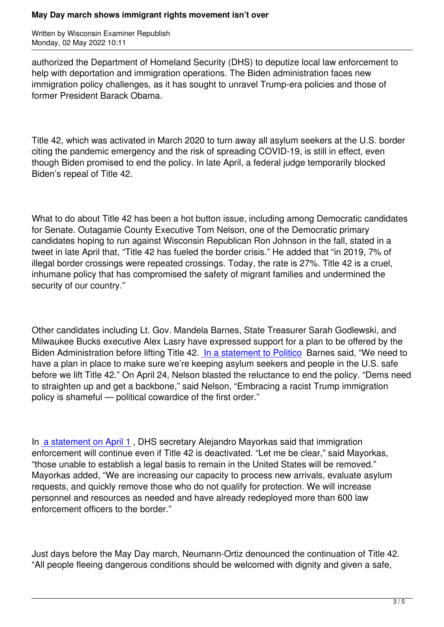authorized the Department of Homeland Security (DHS) to deputize local law enforcement to help with deportation and immigration operations. The Biden administration faces new immigration policy challenges, as it has sought to unravel Trump-era policies and those of former President Barack Obama.

Title 42, which was activated in March 2020 to turn away all asylum seekers at the U.S. border citing the pandemic emergency and the risk of spreading COVID-19, is still in effect, even though Biden promised to end the policy. In late April, a federal judge temporarily blocked Biden's repeal of Title 42.

What to do about Title 42 has been a hot button issue, including among Democratic candidates for Senate. Outagamie County Executive Tom Nelson, one of the Democratic primary candidates hoping to run against Wisconsin Republican Ron Johnson in the fall, stated in a tweet in late April that, "Title 42 has fueled the border crisis." He added that "in 2019, 7% of illegal border crossings were repeated crossings. Today, the rate is 27%. Title 42 is a cruel, inhumane policy that has compromised the safety of migrant families and undermined the security of our country."

Other candidates including Lt. Gov. Mandela Barnes, State Treasurer Sarah Godlewski, and Milwaukee Bucks executive Alex Lasry have expressed support for a plan to be offered by the Biden Administration before lifting Title 42. In a statement to Politico Barnes said, "We need to have a plan in place to make sure we're keeping asylum seekers and people in the U.S. safe before we lift Title 42." On April 24, Nelson blasted the reluctance to end the policy. "Dems need to straighten up and get a backbone," said [Nelson, "Embracing a rac](https://www.politico.com/news/2022/04/18/more-dem-senate-hopefuls-split-with-biden-on-border-00025925)ist Trump immigration policy is shameful — political cowardice of the first order."

In a statement on April 1 , DHS secretary Alejandro Mayorkas said that immigration enforcement will continue even if Title 42 is deactivated. "Let me be clear," said Mayorkas, "those unable to establish a legal basis to remain in the United States will be removed." M[ayorkas added, "We are](https://www.dhs.gov/news/2022/04/01/statement-secretary-mayorkas-cdcs-title-42-order-termination) increasing our capacity to process new arrivals, evaluate asylum requests, and quickly remove those who do not qualify for protection. We will increase personnel and resources as needed and have already redeployed more than 600 law enforcement officers to the border."

Just days before the May Day march, Neumann-Ortiz denounced the continuation of Title 42. "All people fleeing dangerous conditions should be welcomed with dignity and given a safe,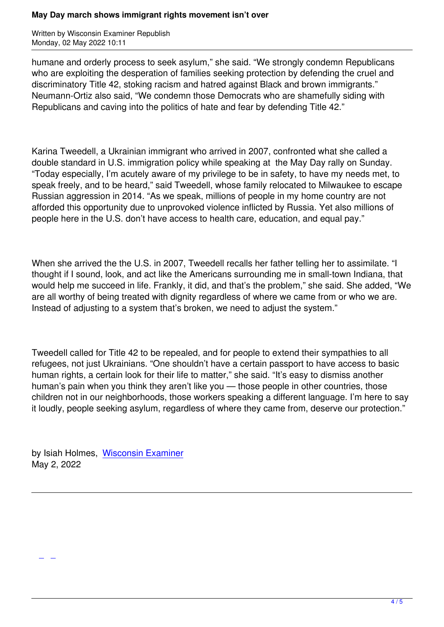humane and orderly process to seek asylum," she said. "We strongly condemn Republicans who are exploiting the desperation of families seeking protection by defending the cruel and discriminatory Title 42, stoking racism and hatred against Black and brown immigrants." Neumann-Ortiz also said, "We condemn those Democrats who are shamefully siding with Republicans and caving into the politics of hate and fear by defending Title 42."

Karina Tweedell, a Ukrainian immigrant who arrived in 2007, confronted what she called a double standard in U.S. immigration policy while speaking at the May Day rally on Sunday. "Today especially, I'm acutely aware of my privilege to be in safety, to have my needs met, to speak freely, and to be heard," said Tweedell, whose family relocated to Milwaukee to escape Russian aggression in 2014. "As we speak, millions of people in my home country are not afforded this opportunity due to unprovoked violence inflicted by Russia. Yet also millions of people here in the U.S. don't have access to health care, education, and equal pay."

When she arrived the the U.S. in 2007, Tweedell recalls her father telling her to assimilate. "I thought if I sound, look, and act like the Americans surrounding me in small-town Indiana, that would help me succeed in life. Frankly, it did, and that's the problem," she said. She added, "We are all worthy of being treated with dignity regardless of where we came from or who we are. Instead of adjusting to a system that's broken, we need to adjust the system."

Tweedell called for Title 42 to be repealed, and for people to extend their sympathies to all refugees, not just Ukrainians. "One shouldn't have a certain passport to have access to basic human rights, a certain look for their life to matter," she said. "It's easy to dismiss another human's pain when you think they aren't like you — those people in other countries, those children not in our neighborhoods, those workers speaking a different language. I'm here to say it loudly, people seeking asylum, regardless of where they came from, deserve our protection."

by Isiah Holmes, Wisconsin Examiner May 2, 2022